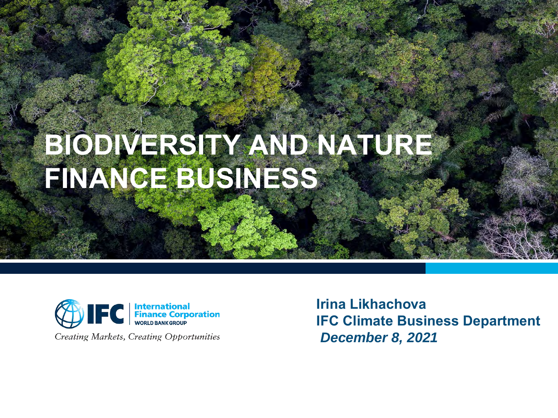# **BIODIVERSITY AND NATURE FINANCE BUSINESS**



**Creating Markets, Creating Opportunities** 

**Irina Likhachova IFC Climate Business Department**  *December 8, 2021*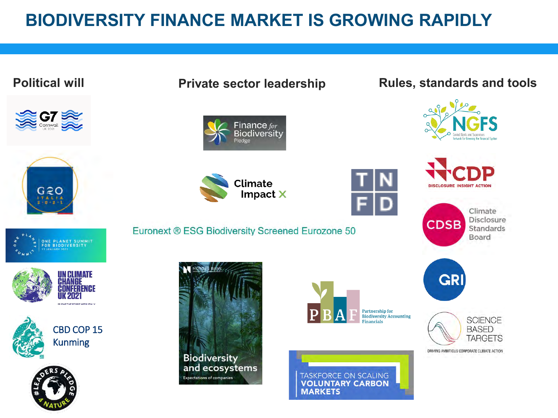### **BIODIVERSITY FINANCE MARKET IS GROWING RAPIDLY**

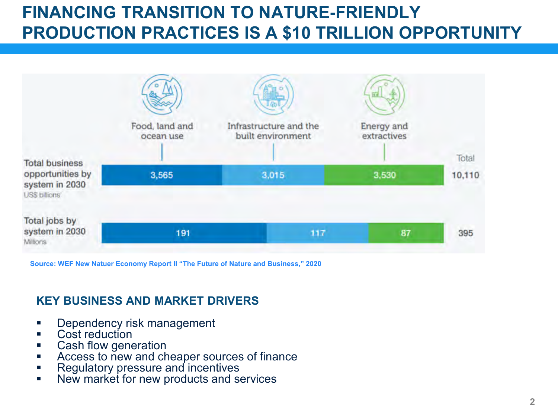## **FINANCING TRANSITION TO NATURE-FRIENDLY PRODUCTION PRACTICES IS A \$10 TRILLION OPPORTUNITY**



**Source: WEF New Natuer Economy Report II "The Future of Nature and Business," 2020** 

#### **KEY BUSINESS AND MARKET DRIVERS**

- **Dependency risk management**
- Cost reduction
- Cash flow generation
- Access to new and cheaper sources of finance
- Regulatory pressure and incentives
- New market for new products and services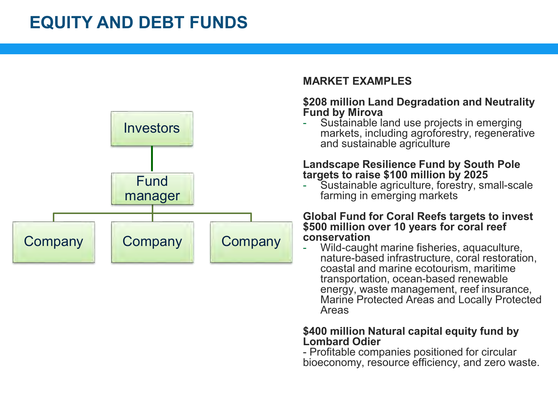### **EQUITY AND DEBT FUNDS**



#### **MARKET EXAMPLES**

#### **\$208 million Land Degradation and Neutrality Fund by Mirova**

Sustainable land use projects in emerging markets, including agroforestry, regenerative and sustainable agriculture

#### **Landscape Resilience Fund by South Pole targets to raise \$100 million by 2025**

Sustainable agriculture, forestry, small-scale farming in emerging markets

#### **Global Fund for Coral Reefs targets to invest \$500 million over 10 years for coral reef conservation**

Wild-caught marine fisheries, aquaculture. nature-based infrastructure, coral restoration, coastal and marine ecotourism, maritime transportation, ocean-based renewable energy, waste management, reef insurance, Marine Protected Areas and Locally Protected Areas

#### **\$400 million Natural capital equity fund by Lombard Odier**

- Profitable companies positioned for circular bioeconomy, resource efficiency, and zero waste.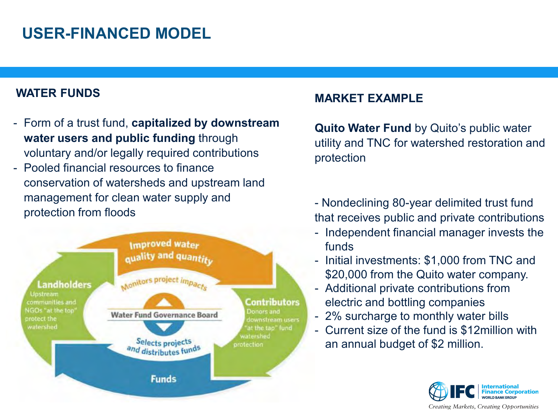### **USER-FINANCED MODEL**

#### **WATER FUNDS**

- Form of a trust fund, **capitalized by downstream water users and public funding** through voluntary and/or legally required contributions
- Pooled financial resources to finance conservation of watersheds and upstream land management for clean water supply and protection from floods



#### **MARKET EXAMPLE**

**Quito Water Fund** by Quito's public water utility and TNC for watershed restoration and protection

- Nondeclining 80-year delimited trust fund that receives public and private contributions

- Independent financial manager invests the funds
- Initial investments: \$1,000 from TNC and \$20,000 from the Quito water company.
- Additional private contributions from electric and bottling companies
- 2% surcharge to monthly water bills
- Current size of the fund is \$12million with an annual budget of \$2 million.

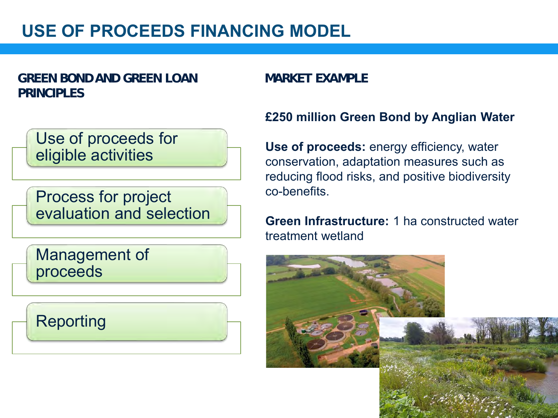### **USE OF PROCEEDS FINANCING MODEL**

#### **GREEN BOND AND GREEN LOAN PRINCIPLES**

#### **MARKET EXAMPLE**

Use of proceeds for eligible activities

Process for project evaluation and selection

Management of proceeds

Reporting

#### **£250 million Green Bond by Anglian Water**

Use of proceeds: energy efficiency, water conservation, adaptation measures such as reducing flood risks, and positive biodiversity co-benefits.

#### **Green Infrastructure:** 1 ha constructed water treatment wetland

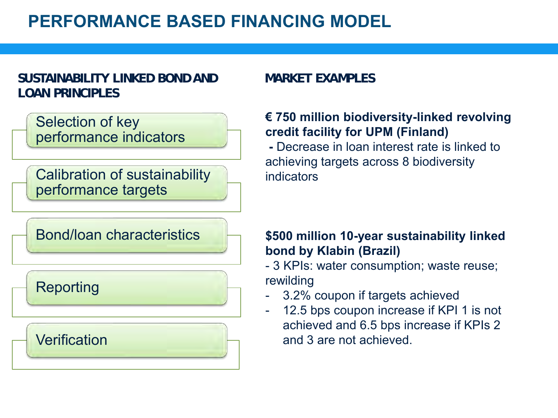### **PERFORMANCE BASED FINANCING MODEL**

#### **SUSTAINABILITY LINKED BOND AND LOAN PRINCIPLES**

Selection of key performance indicators

Calibration of sustainability performance targets

Bond/loan characteristics

### Reporting

### **Verification**

#### **MARKET EXAMPLES**

#### **€ 750 million biodiversity-linked revolving credit facility for UPM (Finland)**

**-** Decrease in loan interest rate is linked to achieving targets across 8 biodiversity indicators

#### **\$500 million 10-year sustainability linked bond by Klabin (Brazil)**

- 3 KPIs: water consumption; waste reuse; rewilding

- 3.2% coupon if targets achieved
- 12.5 bps coupon increase if KPI 1 is not achieved and 6.5 bps increase if KPIs 2 and 3 are not achieved.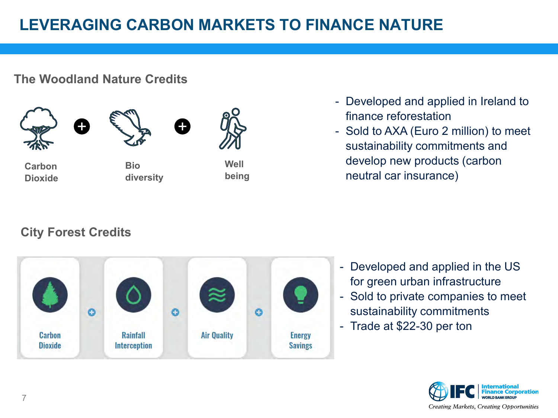### **LEVERAGING CARBON MARKETS TO FINANCE NATURE**

#### **The Woodland Nature Credits**







**Bio diversity** 



**being** 

- Developed and applied in Ireland to finance reforestation
- Sold to AXA (Euro 2 million) to meet sustainability commitments and develop new products (carbon neutral car insurance)

### **City Forest Credits**



- Developed and applied in the US for green urban infrastructure
- Sold to private companies to meet sustainability commitments
- Trade at \$22-30 per ton

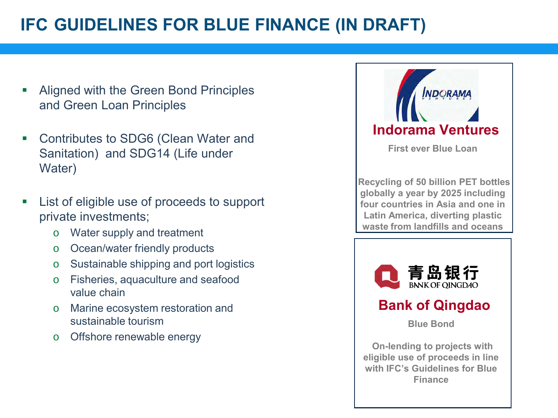### **IFC GUIDELINES FOR BLUE FINANCE (IN DRAFT)**

- Aligned with the Green Bond Principles and Green Loan Principles
- Contributes to SDG6 (Clean Water and Sanitation) and SDG14 (Life under Water)
- List of eligible use of proceeds to support private investments;
	- o Water supply and treatment
	- o Ocean/water friendly products
	- o Sustainable shipping and port logistics
	- o Fisheries, aquaculture and seafood value chain
	- o Marine ecosystem restoration and sustainable tourism
	- o Offshore renewable energy



**Latin America, diverting plastic waste from landfills and oceans**



### **Bank of Qingdao**

**Blue Bond**

**On-lending to projects with eligible use of proceeds in line with IFC's Guidelines for Blue Finance**